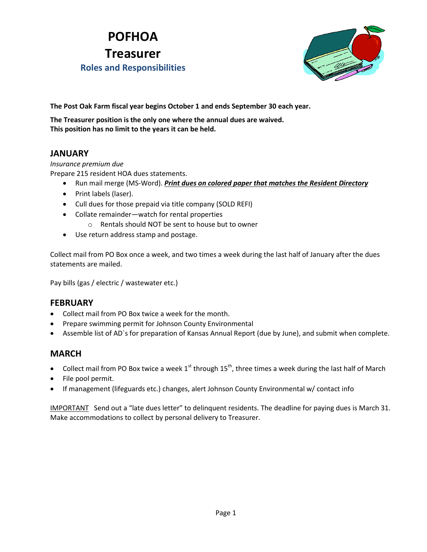# **POFHOA Treasurer Roles and Responsibilities**



**The Post Oak Farm fiscal year begins October 1 and ends September 30 each year.**

**The Treasurer position is the only one where the annual dues are waived. This position has no limit to the years it can be held.**

# **JANUARY**

#### *Insurance premium due*

Prepare 215 resident HOA dues statements.

- Run mail merge (MS-Word). *Print dues on colored paper that matches the Resident Directory*
- Print labels (laser).
- Cull dues for those prepaid via title company (SOLD REFI)
- Collate remainder—watch for rental properties
	- o Rentals should NOT be sent to house but to owner
- Use return address stamp and postage.

Collect mail from PO Box once a week, and two times a week during the last half of January after the dues statements are mailed.

Pay bills (gas / electric / wastewater etc.)

### **FEBRUARY**

- Collect mail from PO Box twice a week for the month.
- Prepare swimming permit for Johnson County Environmental
- Assemble list of AD`s for preparation of Kansas Annual Report (due by June), and submit when complete.

### **MARCH**

- Collect mail from PO Box twice a week  $1^{st}$  through  $15^{th}$ , three times a week during the last half of March
- File pool permit.
- If management (lifeguards etc.) changes, alert Johnson County Environmental w/ contact info

IMPORTANT Send out a "late dues letter" to delinquent residents. The deadline for paying dues is March 31. Make accommodations to collect by personal delivery to Treasurer.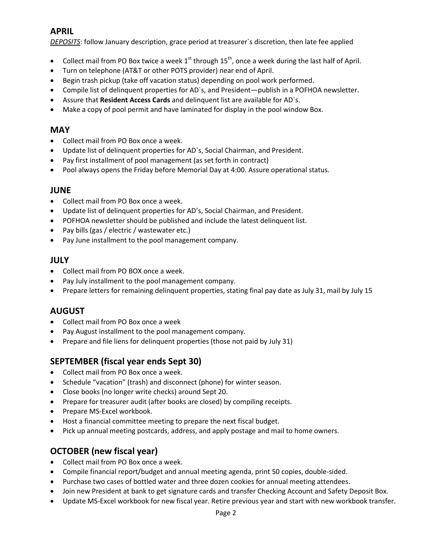# **APRIL**

*DEPOSITS*: follow January description, grace period at treasurer`s discretion, then late fee applied

- Collect mail from PO Box twice a week  $1^{st}$  through  $15^{th}$ , once a week during the last half of April.
- Turn on telephone (AT&T or other POTS provider) near end of April.
- Begin trash pickup (take off vacation status) depending on pool work performed.
- Compile list of delinquent properties for AD`s, and President—publish in a POFHOA newsletter.
- Assure that **Resident Access Cards** and delinquent list are available for AD`s.
- Make a copy of pool permit and have laminated for display in the pool window Box.

### **MAY**

- Collect mail from PO Box once a week.
- Update list of delinquent properties for AD`s, Social Chairman, and President.
- Pay first installment of pool management (as set forth in contract)
- Pool always opens the Friday before Memorial Day at 4:00. Assure operational status.

### **JUNE**

- Collect mail from PO Box once a week.
- Update list of delinquent properties for AD's, Social Chairman, and President.
- POFHOA newsletter should be published and include the latest delinquent list.
- Pay bills (gas / electric / wastewater etc.)
- Pay June installment to the pool management company.

### **JULY**

- Collect mail from PO BOX once a week.
- Pay July installment to the pool management company.
- Prepare letters for remaining delinquent properties, stating final pay date as July 31, mail by July 15

# **AUGUST**

- Collect mail from PO Box once a week
- Pay August installment to the pool management company.
- Prepare and file liens for delinquent properties (those not paid by July 31)

# **SEPTEMBER (fiscal year ends Sept 30)**

- Collect mail from PO Box once a week.
- Schedule "vacation" (trash) and disconnect (phone) for winter season.
- Close books (no longer write checks) around Sept 20.
- Prepare for treasurer audit (after books are closed) by compiling receipts.
- Prepare MS-Excel workbook.
- Host a financial committee meeting to prepare the next fiscal budget.
- Pick up annual meeting postcards, address, and apply postage and mail to home owners.

# **OCTOBER (new fiscal year)**

- Collect mail from PO Box once a week.
- Compile financial report/budget and annual meeting agenda, print 50 copies, double-sided.
- Purchase two cases of bottled water and three dozen cookies for annual meeting attendees.
- Join new President at bank to get signature cards and transfer Checking Account and Safety Deposit Box.
- Update MS-Excel workbook for new fiscal year. Retire previous year and start with new workbook transfer.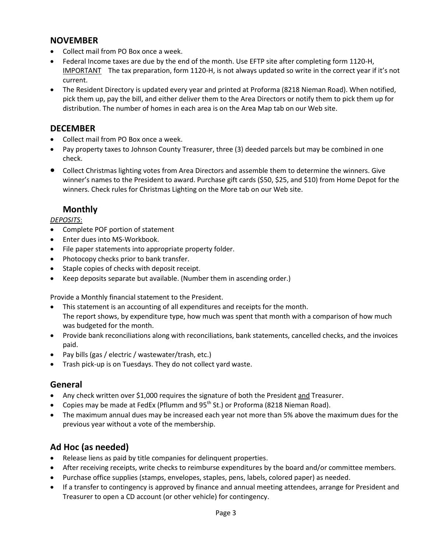### **NOVEMBER**

- Collect mail from PO Box once a week.
- Federal Income taxes are due by the end of the month. Use EFTP site after completing form 1120-H, IMPORTANTThe tax preparation, form 1120-H, is not always updated so write in the correct year if it's not current.
- The Resident Directory is updated every year and printed at Proforma (8218 Nieman Road). When notified, pick them up, pay the bill, and either deliver them to the Area Directors or notify them to pick them up for distribution. The number of homes in each area is on the Area Map tab on our Web site.

### **DECEMBER**

- Collect mail from PO Box once a week.
- Pay property taxes to Johnson County Treasurer, three (3) deeded parcels but may be combined in one check.
- Collect Christmas lighting votes from Area Directors and assemble them to determine the winners. Give winner's names to the President to award. Purchase gift cards (\$50, \$25, and \$10) from Home Depot for the winners. Check rules for Christmas Lighting on the More tab on our Web site.

# **Monthly**

#### *DEPOSITS*:

- Complete POF portion of statement
- Enter dues into MS-Workbook.
- File paper statements into appropriate property folder.
- Photocopy checks prior to bank transfer.
- Staple copies of checks with deposit receipt.
- Keep deposits separate but available. (Number them in ascending order.)

Provide a Monthly financial statement to the President.

- This statement is an accounting of all expenditures and receipts for the month. The report shows, by expenditure type, how much was spent that month with a comparison of how much was budgeted for the month.
- Provide bank reconciliations along with reconciliations, bank statements, cancelled checks, and the invoices paid.
- Pay bills (gas / electric / wastewater/trash, etc.)
- Trash pick-up is on Tuesdays. They do not collect yard waste.

# **General**

- Any check written over \$1,000 requires the signature of both the President and Treasurer.
- Copies may be made at FedEx (Pflumm and  $95<sup>th</sup>$  St.) or Proforma (8218 Nieman Road).
- The maximum annual dues may be increased each year not more than 5% above the maximum dues for the previous year without a vote of the membership.

# **Ad Hoc (as needed)**

- Release liens as paid by title companies for delinquent properties.
- After receiving receipts, write checks to reimburse expenditures by the board and/or committee members.
- Purchase office supplies (stamps, envelopes, staples, pens, labels, colored paper) as needed.
- If a transfer to contingency is approved by finance and annual meeting attendees, arrange for President and Treasurer to open a CD account (or other vehicle) for contingency.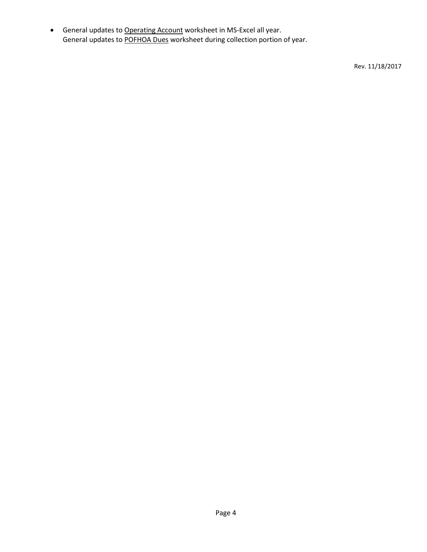**General updates to Operating Account worksheet in MS-Excel all year.** General updates to POFHOA Dues worksheet during collection portion of year.

Rev. 11/18/2017